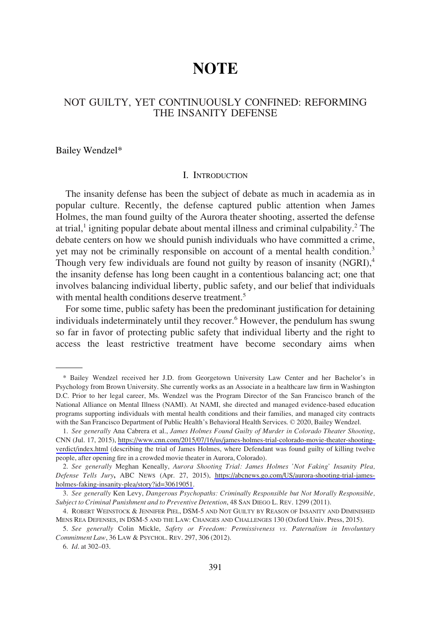# **NOTE**

# NOT GUILTY, YET CONTINUOUSLY CONFINED: REFORMING THE INSANITY DEFENSE

Bailey Wendzel\*

## I. INTRODUCTION

The insanity defense has been the subject of debate as much in academia as in popular culture. Recently, the defense captured public attention when James Holmes, the man found guilty of the Aurora theater shooting, asserted the defense at trial,<sup>1</sup> igniting popular debate about mental illness and criminal culpability.<sup>2</sup> The debate centers on how we should punish individuals who have committed a crime, yet may not be criminally responsible on account of a mental health condition.<sup>3</sup> Though very few individuals are found not guilty by reason of insanity (NGRI),<sup>4</sup> the insanity defense has long been caught in a contentious balancing act; one that involves balancing individual liberty, public safety, and our belief that individuals with mental health conditions deserve treatment.<sup>5</sup>

For some time, public safety has been the predominant justifcation for detaining individuals indeterminately until they recover.<sup>6</sup> However, the pendulum has swung so far in favor of protecting public safety that individual liberty and the right to access the least restrictive treatment have become secondary aims when

<sup>\*</sup> Bailey Wendzel received her J.D. from Georgetown University Law Center and her Bachelor's in Psychology from Brown University. She currently works as an Associate in a healthcare law frm in Washington D.C. Prior to her legal career, Ms. Wendzel was the Program Director of the San Francisco branch of the National Alliance on Mental Illness (NAMI). At NAMI, she directed and managed evidence-based education programs supporting individuals with mental health conditions and their families, and managed city contracts with the San Francisco Department of Public Health's Behavioral Health Services. © 2020, Bailey Wendzel.

*See generally* Ana Cabrera et al., *James Holmes Found Guilty of Murder in Colorado Theater Shooting*, 1. CNN (Jul. 17, 2015), [https://www.cnn.com/2015/07/16/us/james-holmes-trial-colorado-movie-theater-shooting](https://www.cnn.com/2015/07/16/us/james-holmes-trial-colorado-movie-theater-shooting-verdict/index.html)[verdict/index.html](https://www.cnn.com/2015/07/16/us/james-holmes-trial-colorado-movie-theater-shooting-verdict/index.html) (describing the trial of James Holmes, where Defendant was found guilty of killing twelve people, after opening fre in a crowded movie theater in Aurora, Colorado).

*See generally* Meghan Keneally, *Aurora Shooting Trial: James Holmes 'Not Faking' Insanity Plea,*  2. *Defense Tells Jury***,** ABC NEWS (Apr. 27, 2015), [https://abcnews.go.com/US/aurora-shooting-trial-james](https://abcnews.go.com/US/aurora-shooting-trial-james-holmes-faking-insanity-plea/story?id=30619051)[holmes-faking-insanity-plea/story?id=30619051.](https://abcnews.go.com/US/aurora-shooting-trial-james-holmes-faking-insanity-plea/story?id=30619051)

<sup>3.</sup> *See generally* Ken Levy, *Dangerous Psychopaths: Criminally Responsible but Not Morally Responsible, Subject to Criminal Punishment and to Preventive Detention*, 48 SAN DIEGO L. REV. 1299 (2011).

<sup>4.</sup> ROBERT WEINSTOCK & JENNIFER PIEL, DSM-5 AND NOT GUILTY BY REASON OF INSANITY AND DIMINISHED MENS REA DEFENSES, IN DSM-5 AND THE LAW: CHANGES AND CHALLENGES 130 (Oxford Univ. Press, 2015).

<sup>5.</sup> *See generally* Colin Mickle, *Safety or Freedom: Permissiveness vs. Paternalism in Involuntary Commitment Law*, 36 LAW & PSYCHOL. REV. 297, 306 (2012).

<sup>6.</sup> *Id*. at 302–03.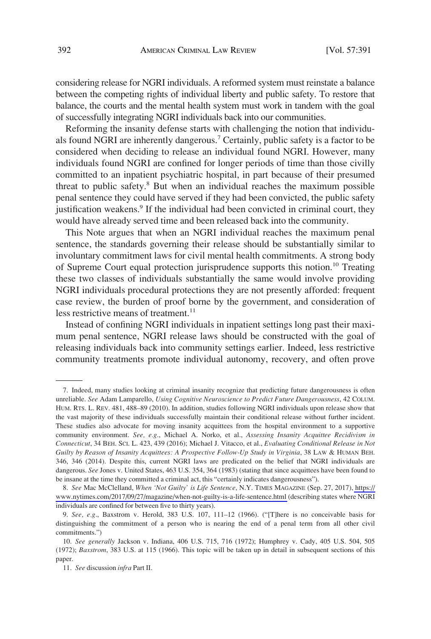considering release for NGRI individuals. A reformed system must reinstate a balance between the competing rights of individual liberty and public safety. To restore that balance, the courts and the mental health system must work in tandem with the goal of successfully integrating NGRI individuals back into our communities.

Reforming the insanity defense starts with challenging the notion that individuals found NGRI are inherently dangerous.<sup>7</sup> Certainly, public safety is a factor to be considered when deciding to release an individual found NGRI. However, many individuals found NGRI are confned for longer periods of time than those civilly committed to an inpatient psychiatric hospital, in part because of their presumed threat to public safety.<sup>8</sup> But when an individual reaches the maximum possible penal sentence they could have served if they had been convicted, the public safety justification weakens. $9$  If the individual had been convicted in criminal court, they would have already served time and been released back into the community.

This Note argues that when an NGRI individual reaches the maximum penal sentence, the standards governing their release should be substantially similar to involuntary commitment laws for civil mental health commitments. A strong body of Supreme Court equal protection jurisprudence supports this notion.<sup>10</sup> Treating these two classes of individuals substantially the same would involve providing NGRI individuals procedural protections they are not presently afforded: frequent case review, the burden of proof borne by the government, and consideration of less restrictive means of treatment. $11$ 

Instead of confning NGRI individuals in inpatient settings long past their maximum penal sentence, NGRI release laws should be constructed with the goal of releasing individuals back into community settings earlier. Indeed, less restrictive community treatments promote individual autonomy, recovery, and often prove

<sup>7.</sup> Indeed, many studies looking at criminal insanity recognize that predicting future dangerousness is often unreliable. *See* Adam Lamparello, *Using Cognitive Neuroscience to Predict Future Dangerousness*, 42 COLUM. HUM. RTS. L. REV. 481, 488–89 (2010). In addition, studies following NGRI individuals upon release show that the vast majority of these individuals successfully maintain their conditional release without further incident. These studies also advocate for moving insanity acquittees from the hospital environment to a supportive community environment. *See, e.g*., Michael A. Norko, et al., *Assessing Insanity Acquittee Recidivism in Connecticut*, 34 BEH. SCI. L. 423, 439 (2016); Michael J. Vitacco, et al., *Evaluating Conditional Release in Not Guilty by Reason of Insanity Acquittees: A Prospective Follow-Up Study in Virginia*, 38 LAW & HUMAN BEH. 346, 346 (2014). Despite this, current NGRI laws are predicated on the belief that NGRI individuals are dangerous. *See Jones v. United States, 463 U.S. 354, 364 (1983) (stating that since acquittees have been found to* be insane at the time they committed a criminal act, this "certainly indicates dangerousness").

*See* Mac McClelland, *When 'Not Guilty' is Life Sentence*, N.Y. TIMES MAGAZINE (Sep. 27, 2017), [https://](https://www.nytimes.com/2017/09/27/magazine/when-not-guilty-is-a-life-sentence.html) 8. [www.nytimes.com/2017/09/27/magazine/when-not-guilty-is-a-life-sentence.html](https://www.nytimes.com/2017/09/27/magazine/when-not-guilty-is-a-life-sentence.html) (describing states where NGRI individuals are confned for between fve to thirty years).

<sup>9.</sup> *See, e.g*., Baxstrom v. Herold, 383 U.S. 107, 111–12 (1966). ("[T]here is no conceivable basis for distinguishing the commitment of a person who is nearing the end of a penal term from all other civil commitments.")

<sup>10.</sup> *See generally* Jackson v. Indiana, 406 U.S. 715, 716 (1972); Humphrey v. Cady, 405 U.S. 504, 505 (1972); *Baxstrom*, 383 U.S. at 115 (1966). This topic will be taken up in detail in subsequent sections of this paper.

<sup>11.</sup> *See* discussion *infra* Part II.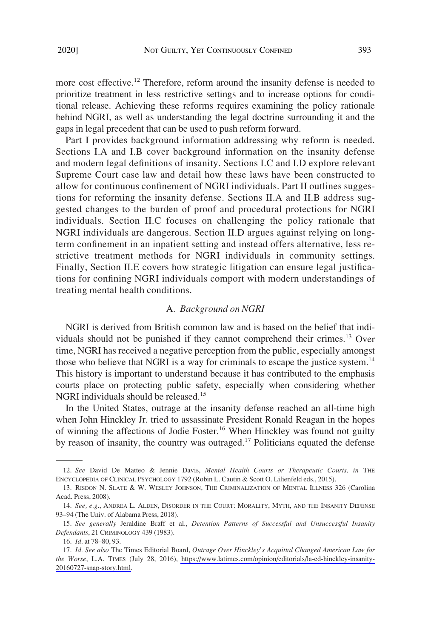more cost effective.<sup>12</sup> Therefore, reform around the insanity defense is needed to prioritize treatment in less restrictive settings and to increase options for conditional release. Achieving these reforms requires examining the policy rationale behind NGRI, as well as understanding the legal doctrine surrounding it and the gaps in legal precedent that can be used to push reform forward.

Part I provides background information addressing why reform is needed. Sections I.A and I.B cover background information on the insanity defense and modern legal defnitions of insanity. Sections I.C and I.D explore relevant Supreme Court case law and detail how these laws have been constructed to allow for continuous confnement of NGRI individuals. Part II outlines suggestions for reforming the insanity defense. Sections II.A and II.B address suggested changes to the burden of proof and procedural protections for NGRI individuals. Section II.C focuses on challenging the policy rationale that NGRI individuals are dangerous. Section II.D argues against relying on longterm confnement in an inpatient setting and instead offers alternative, less restrictive treatment methods for NGRI individuals in community settings. Finally, Section II.E covers how strategic litigation can ensure legal justifcations for confning NGRI individuals comport with modern understandings of treating mental health conditions.

# A*. Background on NGRI*

NGRI is derived from British common law and is based on the belief that individuals should not be punished if they cannot comprehend their crimes.<sup>13</sup> Over time, NGRI has received a negative perception from the public, especially amongst those who believe that NGRI is a way for criminals to escape the justice system.<sup>14</sup> This history is important to understand because it has contributed to the emphasis courts place on protecting public safety, especially when considering whether NGRI individuals should be released.15

In the United States, outrage at the insanity defense reached an all-time high when John Hinckley Jr. tried to assassinate President Ronald Reagan in the hopes of winning the affections of Jodie Foster.<sup>16</sup> When Hinckley was found not guilty by reason of insanity, the country was outraged.<sup>17</sup> Politicians equated the defense

<sup>12.</sup> *See* David De Matteo & Jennie Davis, *Mental Health Courts or Therapeutic Courts, in* THE ENCYCLOPEDIA OF CLINICAL PSYCHOLOGY 1792 (Robin L. Cautin & Scott O. Lilienfeld eds., 2015).

<sup>13.</sup> RISDON N. SLATE & W. WESLEY JOHNSON, THE CRIMINALIZATION OF MENTAL ILLNESS 326 (Carolina Acad. Press, 2008).

<sup>14.</sup> *See, e.g*., ANDREA L. ALDEN, DISORDER IN THE COURT: MORALITY, MYTH, AND THE INSANITY DEFENSE 93–94 (The Univ. of Alabama Press, 2018).

<sup>15.</sup> *See generally* Jeraldine Braff et al., *Detention Patterns of Successful and Unsuccessful Insanity Defendants*, 21 CRIMINOLOGY 439 (1983).

<sup>16.</sup> *Id*. at 78–80, 93.

*Id. See also* The Times Editorial Board, *Outrage Over Hinckley's Acquittal Changed American Law for*  17. *the Worse*, L.A. TIMES (July 28, 2016), [https://www.latimes.com/opinion/editorials/la-ed-hinckley-insanity-](https://www.latimes.com/opinion/editorials/la-ed-hinckley-insanity-20160727-snap-story.html)[20160727-snap-story.html.](https://www.latimes.com/opinion/editorials/la-ed-hinckley-insanity-20160727-snap-story.html)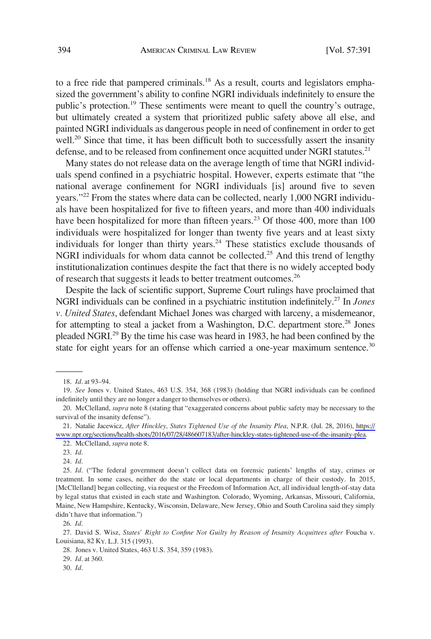to a free ride that pampered criminals.<sup>18</sup> As a result, courts and legislators emphasized the government's ability to confne NGRI individuals indefnitely to ensure the public's protection.19 These sentiments were meant to quell the country's outrage, but ultimately created a system that prioritized public safety above all else, and painted NGRI individuals as dangerous people in need of confnement in order to get well.<sup>20</sup> Since that time, it has been difficult both to successfully assert the insanity defense, and to be released from confinement once acquitted under NGRI statutes.<sup>21</sup>

Many states do not release data on the average length of time that NGRI individuals spend confned in a psychiatric hospital. However, experts estimate that "the national average confnement for NGRI individuals [is] around fve to seven years."<sup>22</sup> From the states where data can be collected, nearly 1,000 NGRI individuals have been hospitalized for fve to ffteen years, and more than 400 individuals have been hospitalized for more than fifteen years.<sup>23</sup> Of those 400, more than 100 individuals were hospitalized for longer than twenty fve years and at least sixty individuals for longer than thirty years.<sup>24</sup> These statistics exclude thousands of NGRI individuals for whom data cannot be collected.<sup>25</sup> And this trend of lengthy institutionalization continues despite the fact that there is no widely accepted body of research that suggests it leads to better treatment outcomes.<sup>26</sup>

Despite the lack of scientifc support, Supreme Court rulings have proclaimed that NGRI individuals can be confned in a psychiatric institution indefnitely.27 In *Jones v. United States*, defendant Michael Jones was charged with larceny, a misdemeanor, for attempting to steal a jacket from a Washington, D.C. department store.<sup>28</sup> Jones pleaded NGRI.29 By the time his case was heard in 1983, he had been confned by the state for eight years for an offense which carried a one-year maximum sentence.<sup>30</sup>

23. *Id*.

24. *Id*.

25. *Id*. ("The federal government doesn't collect data on forensic patients' lengths of stay, crimes or treatment. In some cases, neither do the state or local departments in charge of their custody. In 2015, [McCllelland] began collecting, via request or the Freedom of Information Act, all individual length-of-stay data by legal status that existed in each state and Washington. Colorado, Wyoming, Arkansas, Missouri, California, Maine, New Hampshire, Kentucky, Wisconsin, Delaware, New Jersey, Ohio and South Carolina said they simply didn't have that information.")

26. *Id*.

27. David S. Wisz, *States' Right to Confne Not Guilty by Reason of Insanity Acquittees after* Foucha v. Louisiana, 82 KY. L.J. 315 (1993).

28. Jones v. United States, 463 U.S. 354, 359 (1983).

29. *Id*. at 360.

30. *Id*.

<sup>18.</sup> *Id*. at 93–94.

<sup>19.</sup> *See* Jones v. United States, 463 U.S. 354, 368 (1983) (holding that NGRI individuals can be confned indefnitely until they are no longer a danger to themselves or others).

<sup>20.</sup> McClelland, *supra* note 8 (stating that "exaggerated concerns about public safety may be necessary to the survival of the insanity defense").

Natalie Jacewicz, *After Hinckley, States Tightened Use of the Insanity Plea*, N.P.R. (Jul. 28, 2016), [https://](https://www.npr.org/sections/health-shots/2016/07/28/486607183/after-hinckley-states-tightened-use-of-the-insanity-plea)  21. [www.npr.org/sections/health-shots/2016/07/28/486607183/after-hinckley-states-tightened-use-of-the-insanity-plea.](https://www.npr.org/sections/health-shots/2016/07/28/486607183/after-hinckley-states-tightened-use-of-the-insanity-plea)

<sup>22.</sup> McClelland, *supra* note 8.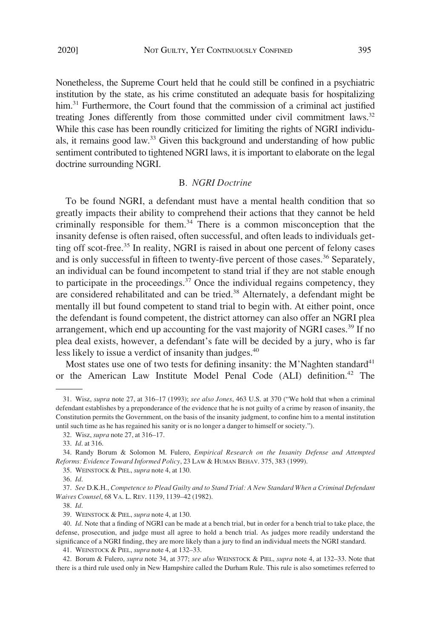Nonetheless, the Supreme Court held that he could still be confned in a psychiatric institution by the state, as his crime constituted an adequate basis for hospitalizing him.<sup>31</sup> Furthermore, the Court found that the commission of a criminal act justified treating Jones differently from those committed under civil commitment laws.<sup>32</sup> While this case has been roundly criticized for limiting the rights of NGRI individuals, it remains good law.33 Given this background and understanding of how public sentiment contributed to tightened NGRI laws, it is important to elaborate on the legal doctrine surrounding NGRI.

### B*. NGRI Doctrine*

To be found NGRI, a defendant must have a mental health condition that so greatly impacts their ability to comprehend their actions that they cannot be held criminally responsible for them.34 There is a common misconception that the insanity defense is often raised, often successful, and often leads to individuals getting off scot-free.<sup>35</sup> In reality, NGRI is raised in about one percent of felony cases and is only successful in fifteen to twenty-five percent of those cases.<sup>36</sup> Separately, an individual can be found incompetent to stand trial if they are not stable enough to participate in the proceedings. $37$  Once the individual regains competency, they are considered rehabilitated and can be tried.38 Alternately, a defendant might be mentally ill but found competent to stand trial to begin with. At either point, once the defendant is found competent, the district attorney can also offer an NGRI plea arrangement, which end up accounting for the vast majority of NGRI cases.<sup>39</sup> If no plea deal exists, however, a defendant's fate will be decided by a jury, who is far less likely to issue a verdict of insanity than judges.<sup>40</sup>

Most states use one of two tests for defining insanity: the M'Naghten standard<sup>41</sup> or the American Law Institute Model Penal Code (ALI) definition.<sup>42</sup> The

41. WEINSTOCK & PIEL, *supra* note 4, at 132–33.

42. Borum & Fulero, *supra* note 34, at 377; *see also* WEINSTOCK & PIEL, *supra* note 4, at 132–33. Note that there is a third rule used only in New Hampshire called the Durham Rule. This rule is also sometimes referred to

<sup>31.</sup> Wisz, *supra* note 27, at 316–17 (1993); *see also Jones*, 463 U.S. at 370 ("We hold that when a criminal defendant establishes by a preponderance of the evidence that he is not guilty of a crime by reason of insanity, the Constitution permits the Government, on the basis of the insanity judgment, to confne him to a mental institution until such time as he has regained his sanity or is no longer a danger to himself or society.").

<sup>32.</sup> Wisz, *supra* note 27, at 316–17.

<sup>33.</sup> *Id*. at 316.

<sup>34.</sup> Randy Borum & Solomon M. Fulero, *Empirical Research on the Insanity Defense and Attempted Reforms: Evidence Toward Informed Policy*, 23 LAW & HUMAN BEHAV. 375, 383 (1999).

<sup>35.</sup> WEINSTOCK & PIEL, *supra* note 4, at 130.

<sup>36.</sup> *Id*.

<sup>37.</sup> *See* D.K.H., *Competence to Plead Guilty and to Stand Trial: A New Standard When a Criminal Defendant Waives Counsel*, 68 VA. L. REV. 1139, 1139–42 (1982).

<sup>38.</sup> *Id*.

<sup>39.</sup> WEINSTOCK & PIEL, *supra* note 4, at 130.

<sup>40.</sup> *Id*. Note that a fnding of NGRI can be made at a bench trial, but in order for a bench trial to take place, the defense, prosecution, and judge must all agree to hold a bench trial. As judges more readily understand the signifcance of a NGRI fnding, they are more likely than a jury to fnd an individual meets the NGRI standard.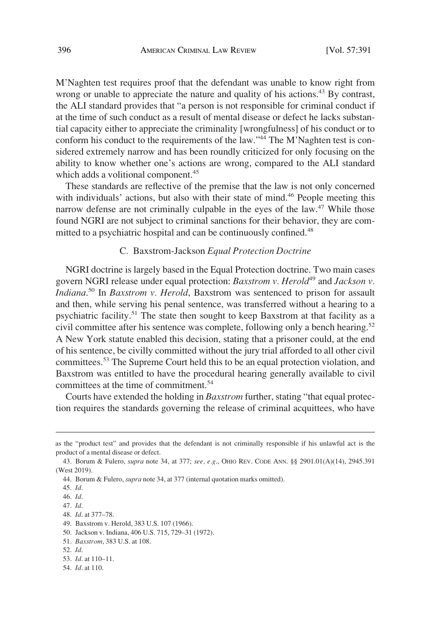M'Naghten test requires proof that the defendant was unable to know right from wrong or unable to appreciate the nature and quality of his actions.<sup>43</sup> By contrast, the ALI standard provides that "a person is not responsible for criminal conduct if at the time of such conduct as a result of mental disease or defect he lacks substantial capacity either to appreciate the criminality [wrongfulness] of his conduct or to conform his conduct to the requirements of the law."<sup>44</sup> The M'Naghten test is considered extremely narrow and has been roundly criticized for only focusing on the ability to know whether one's actions are wrong, compared to the ALI standard which adds a volitional component.<sup>45</sup>

These standards are refective of the premise that the law is not only concerned with individuals' actions, but also with their state of mind.<sup>46</sup> People meeting this narrow defense are not criminally culpable in the eyes of the law.<sup>47</sup> While those found NGRI are not subject to criminal sanctions for their behavior, they are committed to a psychiatric hospital and can be continuously confined.<sup>48</sup>

# C*.* Baxstrom-Jackson *Equal Protection Doctrine*

NGRI doctrine is largely based in the Equal Protection doctrine. Two main cases govern NGRI release under equal protection: *Baxstrom v. Herold*<sup>49</sup> and *Jackson v. Indiana*. 50 In *Baxstrom v. Herold*, Baxstrom was sentenced to prison for assault and then, while serving his penal sentence, was transferred without a hearing to a psychiatric facility.<sup>51</sup> The state then sought to keep Baxstrom at that facility as a civil committee after his sentence was complete, following only a bench hearing.<sup>52</sup> A New York statute enabled this decision, stating that a prisoner could, at the end of his sentence, be civilly committed without the jury trial afforded to all other civil committees.53 The Supreme Court held this to be an equal protection violation, and Baxstrom was entitled to have the procedural hearing generally available to civil committees at the time of commitment.<sup>54</sup>

Courts have extended the holding in *Baxstrom* further, stating "that equal protection requires the standards governing the release of criminal acquittees, who have

as the "product test" and provides that the defendant is not criminally responsible if his unlawful act is the product of a mental disease or defect.

<sup>43.</sup> Borum & Fulero, *supra* note 34, at 377; *see, e.g*., OHIO REV. CODE ANN. §§ 2901.01(A)(14), 2945.391 (West 2019).

<sup>44.</sup> Borum & Fulero, *supra* note 34, at 377 (internal quotation marks omitted).

<sup>45.</sup> *Id*.

<sup>46.</sup> *Id*.

<sup>47.</sup> *Id*.

<sup>48.</sup> *Id*. at 377–78.

<sup>49.</sup> Baxstrom v. Herold, 383 U.S. 107 (1966).

<sup>50.</sup> Jackson v. Indiana, 406 U.S. 715, 729–31 (1972).

<sup>51.</sup> *Baxstrom*, 383 U.S. at 108.

<sup>52.</sup> *Id*.

<sup>53.</sup> *Id*. at 110–11.

<sup>54.</sup> *Id*. at 110.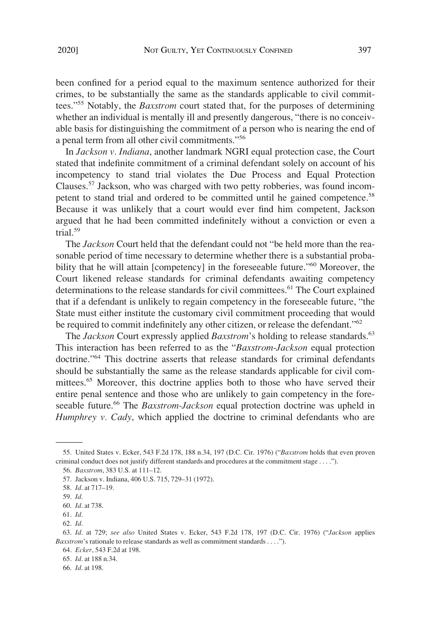been confned for a period equal to the maximum sentence authorized for their crimes, to be substantially the same as the standards applicable to civil committees."55 Notably, the *Baxstrom* court stated that, for the purposes of determining whether an individual is mentally ill and presently dangerous, "there is no conceivable basis for distinguishing the commitment of a person who is nearing the end of a penal term from all other civil commitments."<sup>56</sup>

In *Jackson v. Indiana*, another landmark NGRI equal protection case, the Court stated that indefnite commitment of a criminal defendant solely on account of his incompetency to stand trial violates the Due Process and Equal Protection Clauses.57 Jackson, who was charged with two petty robberies, was found incompetent to stand trial and ordered to be committed until he gained competence.<sup>58</sup> Because it was unlikely that a court would ever fnd him competent, Jackson argued that he had been committed indefnitely without a conviction or even a trial.59

The *Jackson* Court held that the defendant could not "be held more than the reasonable period of time necessary to determine whether there is a substantial probability that he will attain [competency] in the foreseeable future."<sup>60</sup> Moreover, the Court likened release standards for criminal defendants awaiting competency determinations to the release standards for civil committees.<sup>61</sup> The Court explained that if a defendant is unlikely to regain competency in the foreseeable future, "the State must either institute the customary civil commitment proceeding that would be required to commit indefinitely any other citizen, or release the defendant."<sup>62</sup>

The *Jackson* Court expressly applied *Baxstrom*'s holding to release standards.<sup>63</sup> This interaction has been referred to as the "*Baxstrom*-*Jackson* equal protection doctrine."64 This doctrine asserts that release standards for criminal defendants should be substantially the same as the release standards applicable for civil committees.<sup>65</sup> Moreover, this doctrine applies both to those who have served their entire penal sentence and those who are unlikely to gain competency in the foreseeable future.66 The *Baxstrom-Jackson* equal protection doctrine was upheld in *Humphrey v. Cady*, which applied the doctrine to criminal defendants who are

<sup>55.</sup> United States v. Ecker, 543 F.2d 178, 188 n.34, 197 (D.C. Cir. 1976) ("*Baxstrom* holds that even proven criminal conduct does not justify different standards and procedures at the commitment stage . . . .").

<sup>56.</sup> *Baxstrom*, 383 U.S. at 111–12.

<sup>57.</sup> Jackson v. Indiana, 406 U.S. 715, 729–31 (1972).

<sup>58.</sup> *Id*. at 717–19.

<sup>59.</sup> *Id*.

<sup>60.</sup> *Id*. at 738.

<sup>61.</sup> *Id*.

<sup>62.</sup> *Id*.

<sup>63.</sup> *Id*. at 729; *see also* United States v. Ecker, 543 F.2d 178, 197 (D.C. Cir. 1976) ("*Jackson* applies *Baxstrom*'s rationale to release standards as well as commitment standards . . . .").

<sup>64.</sup> *Ecker*, 543 F.2d at 198.

<sup>65.</sup> *Id*. at 188 n.34.

<sup>66.</sup> *Id*. at 198.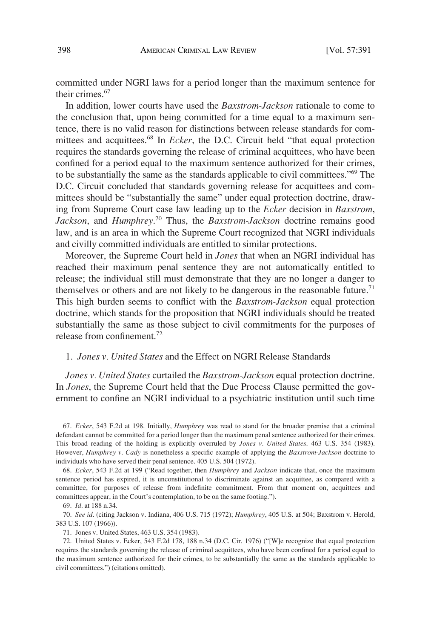committed under NGRI laws for a period longer than the maximum sentence for their crimes.<sup>67</sup>

In addition, lower courts have used the *Baxstrom-Jackson* rationale to come to the conclusion that, upon being committed for a time equal to a maximum sentence, there is no valid reason for distinctions between release standards for committees and acquittees.<sup>68</sup> In *Ecker*, the D.C. Circuit held "that equal protection requires the standards governing the release of criminal acquittees, who have been confned for a period equal to the maximum sentence authorized for their crimes, to be substantially the same as the standards applicable to civil committees."69 The D.C. Circuit concluded that standards governing release for acquittees and committees should be "substantially the same" under equal protection doctrine, drawing from Supreme Court case law leading up to the *Ecker* decision in *Baxstrom*, *Jackson*, and *Humphrey*. 70 Thus, the *Baxstrom-Jackson* doctrine remains good law, and is an area in which the Supreme Court recognized that NGRI individuals and civilly committed individuals are entitled to similar protections.

Moreover, the Supreme Court held in *Jones* that when an NGRI individual has reached their maximum penal sentence they are not automatically entitled to release; the individual still must demonstrate that they are no longer a danger to themselves or others and are not likely to be dangerous in the reasonable future.<sup>71</sup> This high burden seems to confict with the *Baxstrom-Jackson* equal protection doctrine, which stands for the proposition that NGRI individuals should be treated substantially the same as those subject to civil commitments for the purposes of release from confnement.72

### 1. *Jones v. United States* and the Effect on NGRI Release Standards

*Jones v. United States* curtailed the *Baxstrom-Jackson* equal protection doctrine. In *Jones*, the Supreme Court held that the Due Process Clause permitted the government to confne an NGRI individual to a psychiatric institution until such time

<sup>67.</sup> *Ecker*, 543 F.2d at 198. Initially, *Humphrey* was read to stand for the broader premise that a criminal defendant cannot be committed for a period longer than the maximum penal sentence authorized for their crimes. This broad reading of the holding is explicitly overruled by *Jones v. United States*. 463 U.S. 354 (1983). However, *Humphrey v. Cady* is nonetheless a specifc example of applying the *Baxstrom*-*Jackson* doctrine to individuals who have served their penal sentence. 405 U.S. 504 (1972).

<sup>68.</sup> *Ecker*, 543 F.2d at 199 ("Read together, then *Humphrey* and *Jackson* indicate that, once the maximum sentence period has expired, it is unconstitutional to discriminate against an acquittee, as compared with a committee, for purposes of release from indefnite commitment. From that moment on, acquittees and committees appear, in the Court's contemplation, to be on the same footing.").

<sup>69.</sup> *Id*. at 188 n.34.

<sup>70.</sup> *See id*. (citing Jackson v. Indiana, 406 U.S. 715 (1972); *Humphrey*, 405 U.S. at 504; Baxstrom v. Herold, 383 U.S. 107 (1966)).

<sup>71.</sup> Jones v. United States, 463 U.S. 354 (1983).

<sup>72.</sup> United States v. Ecker, 543 F.2d 178, 188 n.34 (D.C. Cir. 1976) ("[W]e recognize that equal protection requires the standards governing the release of criminal acquittees, who have been confned for a period equal to the maximum sentence authorized for their crimes, to be substantially the same as the standards applicable to civil committees.") (citations omitted).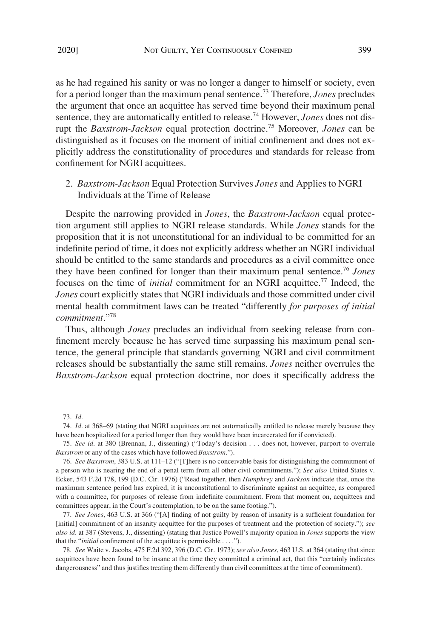as he had regained his sanity or was no longer a danger to himself or society, even for a period longer than the maximum penal sentence.73 Therefore, *Jones* precludes the argument that once an acquittee has served time beyond their maximum penal sentence, they are automatically entitled to release.<sup>74</sup> However, *Jones* does not disrupt the *Baxstrom-Jackson* equal protection doctrine.75 Moreover, *Jones* can be distinguished as it focuses on the moment of initial confnement and does not explicitly address the constitutionality of procedures and standards for release from confnement for NGRI acquittees.

2. *Baxstrom-Jackson* Equal Protection Survives *Jones* and Applies to NGRI Individuals at the Time of Release

Despite the narrowing provided in *Jones*, the *Baxstrom-Jackson* equal protection argument still applies to NGRI release standards. While *Jones* stands for the proposition that it is not unconstitutional for an individual to be committed for an indefnite period of time, it does not explicitly address whether an NGRI individual should be entitled to the same standards and procedures as a civil committee once they have been confned for longer than their maximum penal sentence.76 *Jones*  focuses on the time of *initial* commitment for an NGRI acquittee.77 Indeed, the *Jones* court explicitly states that NGRI individuals and those committed under civil mental health commitment laws can be treated "differently *for purposes of initial commitment*."<sup>78</sup>

Thus, although *Jones* precludes an individual from seeking release from confnement merely because he has served time surpassing his maximum penal sentence, the general principle that standards governing NGRI and civil commitment releases should be substantially the same still remains. *Jones* neither overrules the *Baxstrom-Jackson* equal protection doctrine, nor does it specifcally address the

77. *See Jones*, 463 U.S. at 366 ("[A] fnding of not guilty by reason of insanity is a suffcient foundation for [initial] commitment of an insanity acquittee for the purposes of treatment and the protection of society."); *see also id*. at 387 (Stevens, J., dissenting) (stating that Justice Powell's majority opinion in *Jones* supports the view that the "*initial* confnement of the acquittee is permissible . . . .").

78. *See* Waite v. Jacobs, 475 F.2d 392, 396 (D.C. Cir. 1973); *see also Jones*, 463 U.S. at 364 (stating that since acquittees have been found to be insane at the time they committed a criminal act, that this "certainly indicates dangerousness" and thus justifes treating them differently than civil committees at the time of commitment).

<sup>73.</sup> *Id*.

<sup>74.</sup> *Id*. at 368–69 (stating that NGRI acquittees are not automatically entitled to release merely because they have been hospitalized for a period longer than they would have been incarcerated for if convicted).

<sup>75.</sup> *See id*. at 380 (Brennan, J., dissenting) ("Today's decision . . . does not, however, purport to overrule *Baxstrom* or any of the cases which have followed *Baxstrom*.").

<sup>76.</sup> *See Baxstrom*, 383 U.S. at 111–12 ("[T]here is no conceivable basis for distinguishing the commitment of a person who is nearing the end of a penal term from all other civil commitments."); *See also* United States v. Ecker, 543 F.2d 178, 199 (D.C. Cir. 1976) ("Read together, then *Humphrey* and *Jackson* indicate that, once the maximum sentence period has expired, it is unconstitutional to discriminate against an acquittee, as compared with a committee, for purposes of release from indefnite commitment. From that moment on, acquittees and committees appear, in the Court's contemplation, to be on the same footing.").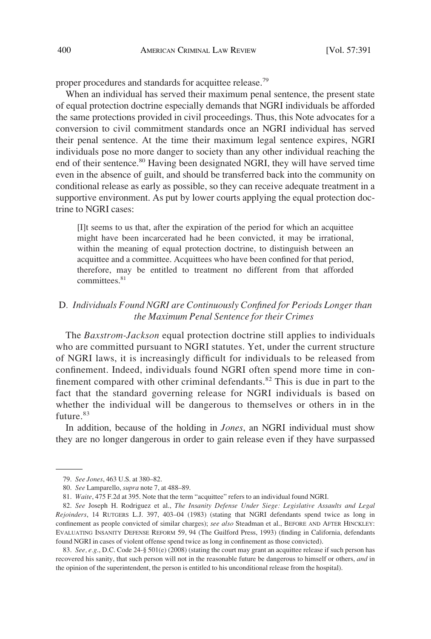proper procedures and standards for acquittee release.<sup>79</sup>

When an individual has served their maximum penal sentence, the present state of equal protection doctrine especially demands that NGRI individuals be afforded the same protections provided in civil proceedings. Thus, this Note advocates for a conversion to civil commitment standards once an NGRI individual has served their penal sentence. At the time their maximum legal sentence expires, NGRI individuals pose no more danger to society than any other individual reaching the end of their sentence.<sup>80</sup> Having been designated NGRI, they will have served time even in the absence of guilt, and should be transferred back into the community on conditional release as early as possible, so they can receive adequate treatment in a supportive environment. As put by lower courts applying the equal protection doctrine to NGRI cases:

[I]t seems to us that, after the expiration of the period for which an acquittee might have been incarcerated had he been convicted, it may be irrational, within the meaning of equal protection doctrine, to distinguish between an acquittee and a committee. Acquittees who have been confned for that period, therefore, may be entitled to treatment no different from that afforded committees.<sup>81</sup>

# D*. Individuals Found NGRI are Continuously Confned for Periods Longer than the Maximum Penal Sentence for their Crimes*

The *Baxstrom-Jackson* equal protection doctrine still applies to individuals who are committed pursuant to NGRI statutes. Yet, under the current structure of NGRI laws, it is increasingly diffcult for individuals to be released from confnement. Indeed, individuals found NGRI often spend more time in confinement compared with other criminal defendants.<sup>82</sup> This is due in part to the fact that the standard governing release for NGRI individuals is based on whether the individual will be dangerous to themselves or others in in the future.<sup>83</sup>

In addition, because of the holding in *Jones*, an NGRI individual must show they are no longer dangerous in order to gain release even if they have surpassed

83. *See, e.g*., D.C. Code 24-§ 501(e) (2008) (stating the court may grant an acquittee release if such person has recovered his sanity, that such person will not in the reasonable future be dangerous to himself or others, *and* in the opinion of the superintendent, the person is entitled to his unconditional release from the hospital).

<sup>79.</sup> *See Jones*, 463 U.S. at 380–82.

<sup>80.</sup> *See* Lamparello, *supra* note 7, at 488–89.

<sup>81.</sup> *Waite*, 475 F.2d at 395. Note that the term "acquittee" refers to an individual found NGRI.

<sup>82.</sup> *See* Joseph H. Rodriguez et al., *The Insanity Defense Under Siege: Legislative Assaults and Legal Rejoinders*, 14 RUTGERS L.J. 397, 403–04 (1983) (stating that NGRI defendants spend twice as long in confnement as people convicted of similar charges); *see also* Steadman et al., BEFORE AND AFTER HINCKLEY: EVALUATING INSANITY DEFENSE REFORM 59, 94 (The Guilford Press, 1993) (fnding in California, defendants found NGRI in cases of violent offense spend twice as long in confnement as those convicted).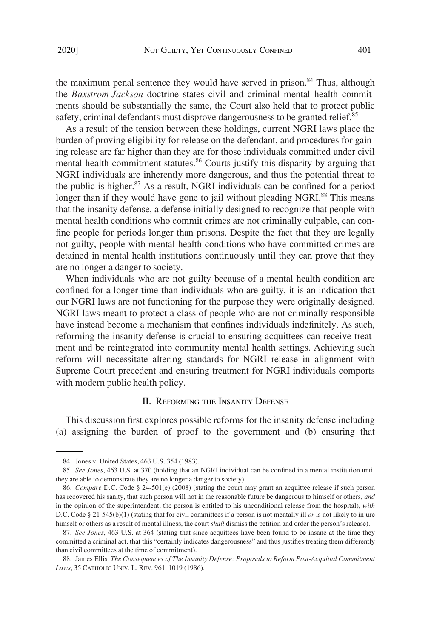the maximum penal sentence they would have served in prison. $84$  Thus, although the *Baxstrom-Jackson* doctrine states civil and criminal mental health commitments should be substantially the same, the Court also held that to protect public safety, criminal defendants must disprove dangerousness to be granted relief.<sup>85</sup>

As a result of the tension between these holdings, current NGRI laws place the burden of proving eligibility for release on the defendant, and procedures for gaining release are far higher than they are for those individuals committed under civil mental health commitment statutes.<sup>86</sup> Courts justify this disparity by arguing that NGRI individuals are inherently more dangerous, and thus the potential threat to the public is higher. $87$  As a result, NGRI individuals can be confined for a period longer than if they would have gone to jail without pleading NGRI.<sup>88</sup> This means that the insanity defense, a defense initially designed to recognize that people with mental health conditions who commit crimes are not criminally culpable, can confne people for periods longer than prisons. Despite the fact that they are legally not guilty, people with mental health conditions who have committed crimes are detained in mental health institutions continuously until they can prove that they are no longer a danger to society.

When individuals who are not guilty because of a mental health condition are confned for a longer time than individuals who are guilty, it is an indication that our NGRI laws are not functioning for the purpose they were originally designed. NGRI laws meant to protect a class of people who are not criminally responsible have instead become a mechanism that confnes individuals indefnitely. As such, reforming the insanity defense is crucial to ensuring acquittees can receive treatment and be reintegrated into community mental health settings. Achieving such reform will necessitate altering standards for NGRI release in alignment with Supreme Court precedent and ensuring treatment for NGRI individuals comports with modern public health policy.

# II. REFORMING THE INSANITY DEFENSE

This discussion frst explores possible reforms for the insanity defense including (a) assigning the burden of proof to the government and (b) ensuring that

<sup>84.</sup> Jones v. United States, 463 U.S. 354 (1983).

<sup>85.</sup> *See Jones*, 463 U.S. at 370 (holding that an NGRI individual can be confned in a mental institution until they are able to demonstrate they are no longer a danger to society).

<sup>86.</sup> *Compare* D.C. Code § 24-501(e) (2008) (stating the court may grant an acquittee release if such person has recovered his sanity, that such person will not in the reasonable future be dangerous to himself or others, *and*  in the opinion of the superintendent, the person is entitled to his unconditional release from the hospital), *with*  D.C. Code § 21-545(b)(1) (stating that for civil committees if a person is not mentally ill *or* is not likely to injure himself or others as a result of mental illness, the court *shall* dismiss the petition and order the person's release).

<sup>87.</sup> *See Jones*, 463 U.S. at 364 (stating that since acquittees have been found to be insane at the time they committed a criminal act, that this "certainly indicates dangerousness" and thus justifes treating them differently than civil committees at the time of commitment).

<sup>88.</sup> James Ellis, *The Consequences of The Insanity Defense: Proposals to Reform Post-Acquittal Commitment Laws*, 35 CATHOLIC UNIV. L. REV. 961, 1019 (1986).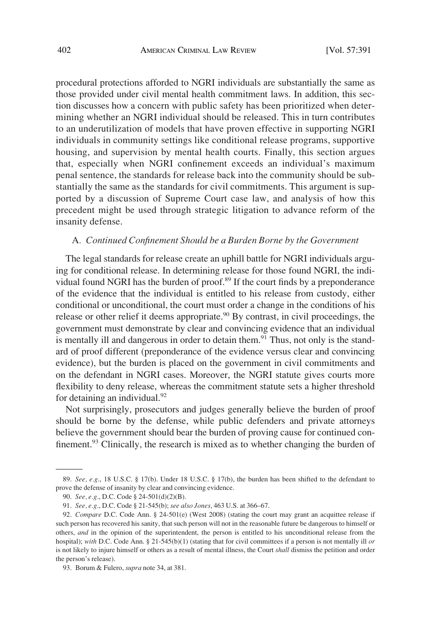procedural protections afforded to NGRI individuals are substantially the same as those provided under civil mental health commitment laws. In addition, this section discusses how a concern with public safety has been prioritized when determining whether an NGRI individual should be released. This in turn contributes to an underutilization of models that have proven effective in supporting NGRI individuals in community settings like conditional release programs, supportive housing, and supervision by mental health courts. Finally, this section argues that, especially when NGRI confnement exceeds an individual's maximum penal sentence, the standards for release back into the community should be substantially the same as the standards for civil commitments. This argument is supported by a discussion of Supreme Court case law, and analysis of how this precedent might be used through strategic litigation to advance reform of the insanity defense.

#### A*. Continued Confnement Should be a Burden Borne by the Government*

The legal standards for release create an uphill battle for NGRI individuals arguing for conditional release. In determining release for those found NGRI, the individual found NGRI has the burden of proof. $89$  If the court finds by a preponderance of the evidence that the individual is entitled to his release from custody, either conditional or unconditional, the court must order a change in the conditions of his release or other relief it deems appropriate.<sup>90</sup> By contrast, in civil proceedings, the government must demonstrate by clear and convincing evidence that an individual is mentally ill and dangerous in order to detain them.<sup>91</sup> Thus, not only is the standard of proof different (preponderance of the evidence versus clear and convincing evidence), but the burden is placed on the government in civil commitments and on the defendant in NGRI cases. Moreover, the NGRI statute gives courts more fexibility to deny release, whereas the commitment statute sets a higher threshold for detaining an individual. $92$ 

Not surprisingly, prosecutors and judges generally believe the burden of proof should be borne by the defense, while public defenders and private attorneys believe the government should bear the burden of proving cause for continued confinement.<sup>93</sup> Clinically, the research is mixed as to whether changing the burden of

<sup>89.</sup> *See, e.g*., 18 U.S.C. § 17(b). Under 18 U.S.C. § 17(b), the burden has been shifted to the defendant to prove the defense of insanity by clear and convincing evidence.

<sup>90.</sup> *See, e.g*., D.C. Code § 24-501(d)(2)(B).

<sup>91.</sup> *See, e.g*., D.C. Code § 21-545(b); *see also Jones*, 463 U.S. at 366–67.

<sup>92.</sup> *Compare* D.C. Code Ann. § 24-501(e) (West 2008) (stating the court may grant an acquittee release if such person has recovered his sanity, that such person will not in the reasonable future be dangerous to himself or others, *and* in the opinion of the superintendent, the person is entitled to his unconditional release from the hospital); *with* D.C. Code Ann. § 21-545(b)(1) (stating that for civil committees if a person is not mentally ill *or* is not likely to injure himself or others as a result of mental illness, the Court *shall* dismiss the petition and order the person's release).

<sup>93.</sup> Borum & Fulero, *supra* note 34, at 381.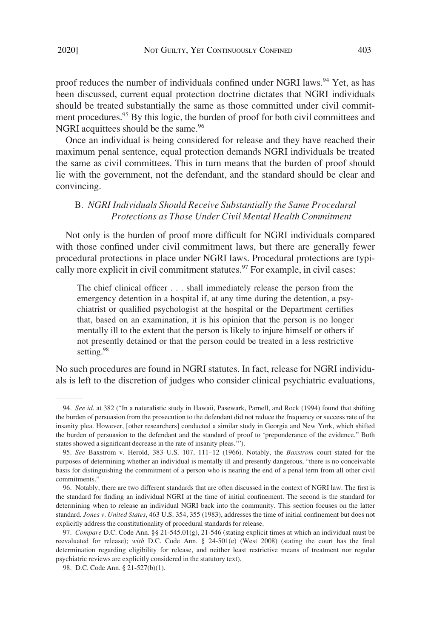proof reduces the number of individuals confined under NGRI laws.<sup>94</sup> Yet, as has been discussed, current equal protection doctrine dictates that NGRI individuals should be treated substantially the same as those committed under civil commitment procedures.<sup>95</sup> By this logic, the burden of proof for both civil committees and NGRI acquittees should be the same.<sup>96</sup>

Once an individual is being considered for release and they have reached their maximum penal sentence, equal protection demands NGRI individuals be treated the same as civil committees. This in turn means that the burden of proof should lie with the government, not the defendant, and the standard should be clear and convincing.

# B*. NGRI Individuals Should Receive Substantially the Same Procedural Protections as Those Under Civil Mental Health Commitment*

Not only is the burden of proof more diffcult for NGRI individuals compared with those confned under civil commitment laws, but there are generally fewer procedural protections in place under NGRI laws. Procedural protections are typically more explicit in civil commitment statutes. $97$  For example, in civil cases:

The chief clinical officer . . . shall immediately release the person from the emergency detention in a hospital if, at any time during the detention, a psychiatrist or qualifed psychologist at the hospital or the Department certifes that, based on an examination, it is his opinion that the person is no longer mentally ill to the extent that the person is likely to injure himself or others if not presently detained or that the person could be treated in a less restrictive setting.<sup>98</sup>

No such procedures are found in NGRI statutes. In fact, release for NGRI individuals is left to the discretion of judges who consider clinical psychiatric evaluations,

<sup>94.</sup> *See id*. at 382 ("In a naturalistic study in Hawaii, Pasewark, Parnell, and Rock (1994) found that shifting the burden of persuasion from the prosecution to the defendant did not reduce the frequency or success rate of the insanity plea. However, [other researchers] conducted a similar study in Georgia and New York, which shifted the burden of persuasion to the defendant and the standard of proof to 'preponderance of the evidence." Both states showed a signifcant decrease in the rate of insanity pleas.'").

<sup>95.</sup> *See* Baxstrom v. Herold, 383 U.S. 107, 111–12 (1966). Notably, the *Baxstrom* court stated for the purposes of determining whether an individual is mentally ill and presently dangerous, "there is no conceivable basis for distinguishing the commitment of a person who is nearing the end of a penal term from all other civil commitments."

<sup>96.</sup> Notably, there are two different standards that are often discussed in the context of NGRI law. The frst is the standard for fnding an individual NGRI at the time of initial confnement. The second is the standard for determining when to release an individual NGRI back into the community. This section focuses on the latter standard. *Jones v. United States*, 463 U.S. 354, 355 (1983), addresses the time of initial confnement but does not explicitly address the constitutionality of procedural standards for release.

<sup>97.</sup> *Compare* D.C. Code Ann. §§ 21-545.01(g), 21-546 (stating explicit times at which an individual must be reevaluated for release); *with* D.C. Code Ann. § 24-501(e) (West 2008) (stating the court has the fnal determination regarding eligibility for release, and neither least restrictive means of treatment nor regular psychiatric reviews are explicitly considered in the statutory text).

<sup>98.</sup> D.C. Code Ann. § 21-527(b)(1).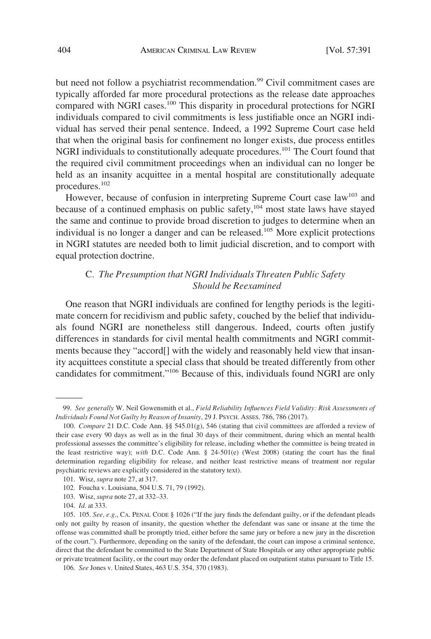but need not follow a psychiatrist recommendation.<sup>99</sup> Civil commitment cases are typically afforded far more procedural protections as the release date approaches compared with NGRI cases.100 This disparity in procedural protections for NGRI individuals compared to civil commitments is less justifable once an NGRI individual has served their penal sentence. Indeed, a 1992 Supreme Court case held that when the original basis for confnement no longer exists, due process entitles NGRI individuals to constitutionally adequate procedures.<sup>101</sup> The Court found that the required civil commitment proceedings when an individual can no longer be held as an insanity acquittee in a mental hospital are constitutionally adequate procedures.102

However, because of confusion in interpreting Supreme Court case law<sup>103</sup> and because of a continued emphasis on public safety, $104$  most state laws have stayed the same and continue to provide broad discretion to judges to determine when an individual is no longer a danger and can be released.<sup>105</sup> More explicit protections in NGRI statutes are needed both to limit judicial discretion, and to comport with equal protection doctrine.

# C*. The Presumption that NGRI Individuals Threaten Public Safety Should be Reexamined*

One reason that NGRI individuals are confned for lengthy periods is the legitimate concern for recidivism and public safety, couched by the belief that individuals found NGRI are nonetheless still dangerous. Indeed, courts often justify differences in standards for civil mental health commitments and NGRI commitments because they "accord[] with the widely and reasonably held view that insanity acquittees constitute a special class that should be treated differently from other candidates for commitment."106 Because of this, individuals found NGRI are only

<sup>99.</sup> *See generally* W. Neil Gowensmith et al., *Field Reliability Infuences Field Validity: Risk Assessments of Individuals Found Not Guilty by Reason of Insanity*, 29 J. PSYCH. ASSES. 786, 786 (2017).

<sup>100.</sup> *Compare* 21 D.C. Code Ann. §§ 545.01(g), 546 (stating that civil committees are afforded a review of their case every 90 days as well as in the fnal 30 days of their commitment, during which an mental health professional assesses the committee's eligibility for release, including whether the committee is being treated in the least restrictive way); *with* D.C. Code Ann. § 24-501(e) (West 2008) (stating the court has the final determination regarding eligibility for release, and neither least restrictive means of treatment nor regular psychiatric reviews are explicitly considered in the statutory text).

<sup>101.</sup> Wisz, *supra* note 27, at 317.

<sup>102.</sup> Foucha v. Louisiana, 504 U.S. 71, 79 (1992).

<sup>103.</sup> Wisz, *supra* note 27, at 332–33.

<sup>104.</sup> *Id*. at 333.

<sup>105. 105.</sup> *See, e.g*., CA. PENAL CODE § 1026 ("If the jury fnds the defendant guilty, or if the defendant pleads only not guilty by reason of insanity, the question whether the defendant was sane or insane at the time the offense was committed shall be promptly tried, either before the same jury or before a new jury in the discretion of the court."). Furthermore, depending on the sanity of the defendant, the court can impose a criminal sentence, direct that the defendant be committed to the State Department of State Hospitals or any other appropriate public or private treatment facility, or the court may order the defendant placed on outpatient status pursuant to Title 15.

<sup>106.</sup> *See* Jones v. United States, 463 U.S. 354, 370 (1983).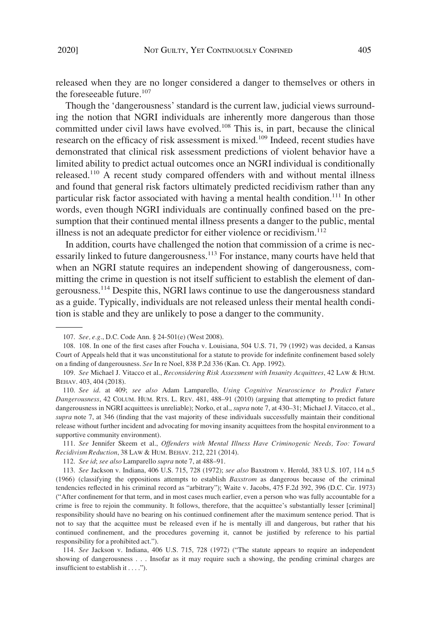released when they are no longer considered a danger to themselves or others in the foreseeable future. $107$ 

Though the 'dangerousness' standard is the current law, judicial views surrounding the notion that NGRI individuals are inherently more dangerous than those committed under civil laws have evolved.<sup>108</sup> This is, in part, because the clinical research on the efficacy of risk assessment is mixed.<sup>109</sup> Indeed, recent studies have demonstrated that clinical risk assessment predictions of violent behavior have a limited ability to predict actual outcomes once an NGRI individual is conditionally released.110 A recent study compared offenders with and without mental illness and found that general risk factors ultimately predicted recidivism rather than any particular risk factor associated with having a mental health condition.<sup>111</sup> In other words, even though NGRI individuals are continually confned based on the presumption that their continued mental illness presents a danger to the public, mental illness is not an adequate predictor for either violence or recidivism. $112$ 

In addition, courts have challenged the notion that commission of a crime is necessarily linked to future dangerousness.<sup>113</sup> For instance, many courts have held that when an NGRI statute requires an independent showing of dangerousness, committing the crime in question is not itself sufficient to establish the element of dangerousness.<sup>114</sup> Despite this, NGRI laws continue to use the dangerousness standard as a guide. Typically, individuals are not released unless their mental health condition is stable and they are unlikely to pose a danger to the community.

111. *See* Jennifer Skeem et al., *Offenders with Mental Illness Have Criminogenic Needs, Too: Toward Recidivism Reduction*, 38 LAW & HUM. BEHAV. 212, 221 (2014).

114. *See* Jackson v. Indiana, 406 U.S. 715, 728 (1972) ("The statute appears to require an independent showing of dangerousness . . . Insofar as it may require such a showing, the pending criminal charges are insufficient to establish it . . . .").

<sup>107.</sup> *See, e.g*., D.C. Code Ann. § 24-501(e) (West 2008).

<sup>108. 108.</sup> In one of the frst cases after Foucha v. Louisiana, 504 U.S. 71, 79 (1992) was decided, a Kansas Court of Appeals held that it was unconstitutional for a statute to provide for indefnite confnement based solely on a fnding of dangerousness. *See* In re Noel, 838 P.2d 336 (Kan. Ct. App. 1992).

<sup>109.</sup> *See* Michael J. Vitacco et al., *Reconsidering Risk Assessment with Insanity Acquittees*, 42 LAW & HUM. BEHAV. 403, 404 (2018).

<sup>110.</sup> *See id*. at 409; *see also* Adam Lamparello, *Using Cognitive Neuroscience to Predict Future Dangerousness*, 42 COLUM. HUM. RTS. L. REV. 481, 488–91 (2010) (arguing that attempting to predict future dangerousness in NGRI acquittees is unreliable); Norko, et al., *supra* note 7, at 430–31; Michael J. Vitacco, et al., *supra* note 7, at 346 (fnding that the vast majority of these individuals successfully maintain their conditional release without further incident and advocating for moving insanity acquittees from the hospital environment to a supportive community environment).

<sup>112.</sup> *See id*; *see also* Lamparello *supra* note 7, at 488–91.

<sup>113.</sup> *See* Jackson v. Indiana, 406 U.S. 715, 728 (1972); *see also* Baxstrom v. Herold, 383 U.S. 107, 114 n.5 (1966) (classifying the oppositions attempts to establish *Baxstrom* as dangerous because of the criminal tendencies refected in his criminal record as "arbitrary"); Waite v. Jacobs, 475 F.2d 392, 396 (D.C. Cir. 1973) ("After confnement for that term, and in most cases much earlier, even a person who was fully accountable for a crime is free to rejoin the community. It follows, therefore, that the acquittee's substantially lesser [criminal] responsibility should have no bearing on his continued confnement after the maximum sentence period. That is not to say that the acquittee must be released even if he is mentally ill and dangerous, but rather that his continued confnement, and the procedures governing it, cannot be justifed by reference to his partial responsibility for a prohibited act.").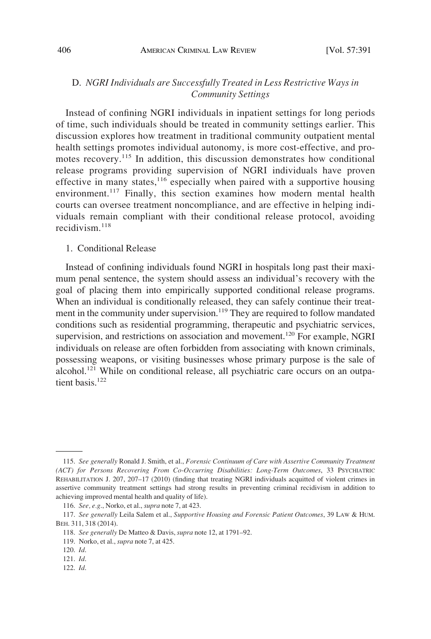# D. *NGRI Individuals are Successfully Treated in Less Restrictive Ways in Community Settings*

Instead of confning NGRI individuals in inpatient settings for long periods of time, such individuals should be treated in community settings earlier. This discussion explores how treatment in traditional community outpatient mental health settings promotes individual autonomy, is more cost-effective, and promotes recovery.<sup>115</sup> In addition, this discussion demonstrates how conditional release programs providing supervision of NGRI individuals have proven effective in many states,  $116$  especially when paired with a supportive housing environment.<sup>117</sup> Finally, this section examines how modern mental health courts can oversee treatment noncompliance, and are effective in helping individuals remain compliant with their conditional release protocol, avoiding recidivism $118$ 

## 1. Conditional Release

Instead of confning individuals found NGRI in hospitals long past their maximum penal sentence, the system should assess an individual's recovery with the goal of placing them into empirically supported conditional release programs. When an individual is conditionally released, they can safely continue their treatment in the community under supervision.<sup>119</sup> They are required to follow mandated conditions such as residential programming, therapeutic and psychiatric services, supervision, and restrictions on association and movement.<sup>120</sup> For example, NGRI individuals on release are often forbidden from associating with known criminals, possessing weapons, or visiting businesses whose primary purpose is the sale of alcohol.<sup>121</sup> While on conditional release, all psychiatric care occurs on an outpatient basis<sup>122</sup>

122. *Id*.

<sup>115.</sup> *See generally* Ronald J. Smith, et al., *Forensic Continuum of Care with Assertive Community Treatment (ACT) for Persons Recovering From Co-Occurring Disabilities: Long-Term Outcomes*, 33 PSYCHIATRIC REHABILITATION J. 207, 207–17 (2010) (fnding that treating NGRI individuals acquitted of violent crimes in assertive community treatment settings had strong results in preventing criminal recidivism in addition to achieving improved mental health and quality of life).

<sup>116.</sup> *See, e.g*., Norko, et al., *supra* note 7, at 423.

<sup>117.</sup> *See generally* Leila Salem et al., *Supportive Housing and Forensic Patient Outcomes*, 39 LAW & HUM. BEH. 311, 318 (2014).

<sup>118.</sup> *See generally* De Matteo & Davis, *supra* note 12, at 1791–92.

<sup>119.</sup> Norko, et al., *supra* note 7, at 425.

<sup>120.</sup> *Id*.

<sup>121.</sup> *Id*.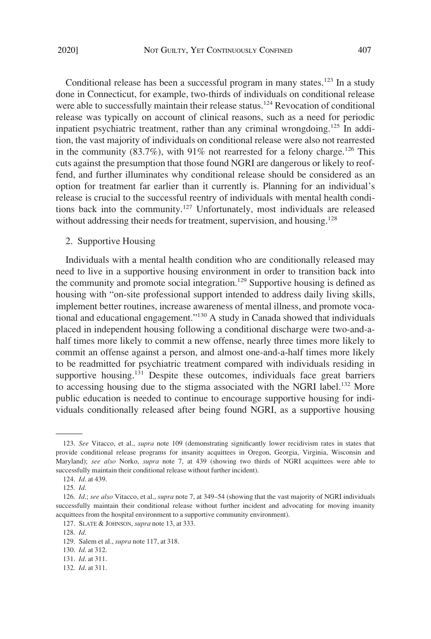Conditional release has been a successful program in many states.<sup>123</sup> In a study done in Connecticut, for example, two-thirds of individuals on conditional release were able to successfully maintain their release status.<sup>124</sup> Revocation of conditional release was typically on account of clinical reasons, such as a need for periodic inpatient psychiatric treatment, rather than any criminal wrongdoing.<sup>125</sup> In addition, the vast majority of individuals on conditional release were also not rearrested in the community  $(83.7\%)$ , with 91% not rearrested for a felony charge.<sup>126</sup> This cuts against the presumption that those found NGRI are dangerous or likely to reoffend, and further illuminates why conditional release should be considered as an option for treatment far earlier than it currently is. Planning for an individual's release is crucial to the successful reentry of individuals with mental health conditions back into the community.<sup>127</sup> Unfortunately, most individuals are released without addressing their needs for treatment, supervision, and housing.<sup>128</sup>

# 2. Supportive Housing

Individuals with a mental health condition who are conditionally released may need to live in a supportive housing environment in order to transition back into the community and promote social integration.<sup>129</sup> Supportive housing is defined as housing with "on-site professional support intended to address daily living skills, implement better routines, increase awareness of mental illness, and promote vocational and educational engagement."130 A study in Canada showed that individuals placed in independent housing following a conditional discharge were two-and-ahalf times more likely to commit a new offense, nearly three times more likely to commit an offense against a person, and almost one-and-a-half times more likely to be readmitted for psychiatric treatment compared with individuals residing in supportive housing.<sup>131</sup> Despite these outcomes, individuals face great barriers to accessing housing due to the stigma associated with the NGRI label.<sup>132</sup> More public education is needed to continue to encourage supportive housing for individuals conditionally released after being found NGRI, as a supportive housing

<sup>123.</sup> *See* Vitacco, et al., *supra* note 109 (demonstrating signifcantly lower recidivism rates in states that provide conditional release programs for insanity acquittees in Oregon, Georgia, Virginia, Wisconsin and Maryland); *see also* Norko, *supra* note 7, at 439 (showing two thirds of NGRI acquittees were able to successfully maintain their conditional release without further incident).

<sup>124.</sup> *Id*. at 439.

<sup>125.</sup> *Id*.

<sup>126.</sup> *Id*.; *see also* Vitacco, et al., *supra* note 7, at 349–54 (showing that the vast majority of NGRI individuals successfully maintain their conditional release without further incident and advocating for moving insanity acquittees from the hospital environment to a supportive community environment).

<sup>127.</sup> SLATE & JOHNSON, *supra* note 13, at 333.

<sup>128.</sup> *Id*.

<sup>129.</sup> Salem et al., *supra* note 117, at 318.

<sup>130.</sup> *Id*. at 312.

<sup>131.</sup> *Id*. at 311.

<sup>132.</sup> *Id*. at 311.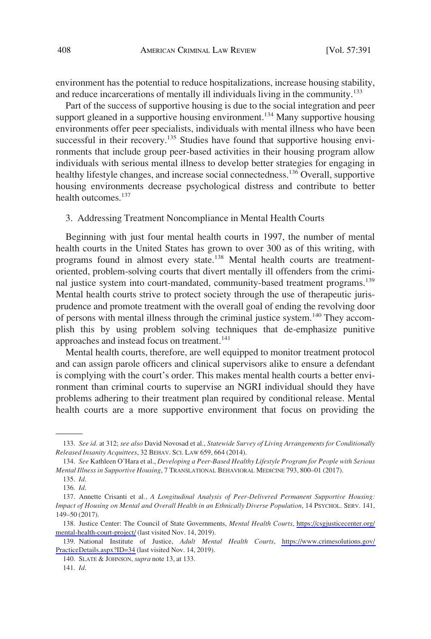environment has the potential to reduce hospitalizations, increase housing stability, and reduce incarcerations of mentally ill individuals living in the community.<sup>133</sup>

Part of the success of supportive housing is due to the social integration and peer support gleaned in a supportive housing environment.<sup>134</sup> Many supportive housing environments offer peer specialists, individuals with mental illness who have been successful in their recovery.<sup>135</sup> Studies have found that supportive housing environments that include group peer-based activities in their housing program allow individuals with serious mental illness to develop better strategies for engaging in healthy lifestyle changes, and increase social connectedness.136 Overall, supportive housing environments decrease psychological distress and contribute to better health outcomes.<sup>137</sup>

# 3. Addressing Treatment Noncompliance in Mental Health Courts

Beginning with just four mental health courts in 1997, the number of mental health courts in the United States has grown to over 300 as of this writing, with programs found in almost every state.<sup>138</sup> Mental health courts are treatmentoriented, problem-solving courts that divert mentally ill offenders from the criminal justice system into court-mandated, community-based treatment programs.<sup>139</sup> Mental health courts strive to protect society through the use of therapeutic jurisprudence and promote treatment with the overall goal of ending the revolving door of persons with mental illness through the criminal justice system.<sup>140</sup> They accomplish this by using problem solving techniques that de-emphasize punitive approaches and instead focus on treatment.<sup>141</sup>

Mental health courts, therefore, are well equipped to monitor treatment protocol and can assign parole offcers and clinical supervisors alike to ensure a defendant is complying with the court's order. This makes mental health courts a better environment than criminal courts to supervise an NGRI individual should they have problems adhering to their treatment plan required by conditional release. Mental health courts are a more supportive environment that focus on providing the

<sup>133.</sup> *See id*. at 312; *see also* David Novosad et al., *Statewide Survey of Living Arrangements for Conditionally Released Insanity Acquittees*, 32 BEHAV. SCI. LAW 659, 664 (2014).

<sup>134.</sup> *See* Kathleen O'Hara et al., *Developing a Peer-Based Healthy Lifestyle Program for People with Serious Mental Illness in Supportive Housing*, 7 TRANSLATIONAL BEHAVIORAL MEDICINE 793, 800–01 (2017).

<sup>135.</sup> *Id*.

<sup>136.</sup> *Id*.

<sup>137.</sup> Annette Crisanti et al*., A Longitudinal Analysis of Peer-Delivered Permanent Supportive Housing: Impact of Housing on Mental and Overall Health in an Ethnically Diverse Population*, 14 PSYCHOL. SERV. 141, 149–50 (2017).

<sup>138.</sup> Justice Center: The Council of State Governments, Mental Health Courts, https://csgjusticecenter.org/ [mental-health-court-project/](https://csgjusticecenter.org/mental-health-court-project/) (last visited Nov. 14, 2019).

<sup>139.</sup> National Institute of Justice, *Adult Mental Health Courts*, https://www.crimesolutions.gov/ [PracticeDetails.aspx?ID=34](https://www.crimesolutions.gov/PracticeDetails.aspx?ID=34) (last visited Nov. 14, 2019).

<sup>140.</sup> SLATE & JOHNSON, *supra* note 13, at 133.

<sup>141.</sup> *Id*.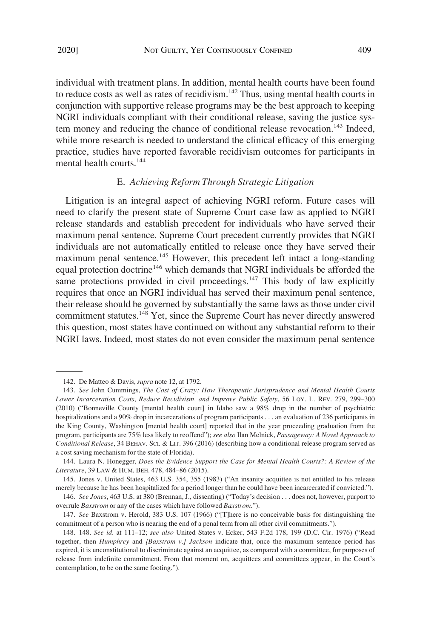individual with treatment plans. In addition, mental health courts have been found to reduce costs as well as rates of recidivism.<sup>142</sup> Thus, using mental health courts in conjunction with supportive release programs may be the best approach to keeping NGRI individuals compliant with their conditional release, saving the justice system money and reducing the chance of conditional release revocation.<sup>143</sup> Indeed, while more research is needed to understand the clinical efficacy of this emerging practice, studies have reported favorable recidivism outcomes for participants in mental health courts.<sup>144</sup>

# E. *Achieving Reform Through Strategic Litigation*

Litigation is an integral aspect of achieving NGRI reform. Future cases will need to clarify the present state of Supreme Court case law as applied to NGRI release standards and establish precedent for individuals who have served their maximum penal sentence. Supreme Court precedent currently provides that NGRI individuals are not automatically entitled to release once they have served their maximum penal sentence.<sup>145</sup> However, this precedent left intact a long-standing equal protection doctrine<sup>146</sup> which demands that NGRI individuals be afforded the same protections provided in civil proceedings. $147$  This body of law explicitly requires that once an NGRI individual has served their maximum penal sentence, their release should be governed by substantially the same laws as those under civil commitment statutes.<sup>148</sup> Yet, since the Supreme Court has never directly answered this question, most states have continued on without any substantial reform to their NGRI laws. Indeed, most states do not even consider the maximum penal sentence

<sup>142.</sup> De Matteo & Davis, *supra* note 12, at 1792.

<sup>143.</sup> *See* John Cummings, *The Cost of Crazy: How Therapeutic Jurisprudence and Mental Health Courts Lower Incarceration Costs, Reduce Recidivism, and Improve Public Safety*, 56 LOY. L. REV. 279, 299–300 (2010) ("Bonneville County [mental health court] in Idaho saw a 98% drop in the number of psychiatric hospitalizations and a 90% drop in incarcerations of program participants . . . an evaluation of 236 participants in the King County, Washington [mental health court] reported that in the year proceeding graduation from the program, participants are 75% less likely to reoffend"); *see also* Ilan Melnick, *Passageway: A Novel Approach to Conditional Release*, 34 BEHAV. SCI. & LIT. 396 (2016) (describing how a conditional release program served as a cost saving mechanism for the state of Florida).

<sup>144.</sup> Laura N. Honegger*, Does the Evidence Support the Case for Mental Health Courts?: A Review of the Literature*, 39 LAW & HUM. BEH. 478, 484–86 (2015).

<sup>145.</sup> Jones v. United States, 463 U.S. 354, 355 (1983) ("An insanity acquittee is not entitled to his release merely because he has been hospitalized for a period longer than he could have been incarcerated if convicted.").

<sup>146.</sup> *See Jones*, 463 U.S. at 380 (Brennan, J., dissenting) ("Today's decision . . . does not, however, purport to overrule *Baxstrom* or any of the cases which have followed *Baxstrom*.").

<sup>147.</sup> *See* Baxstrom v. Herold, 383 U.S. 107 (1966) ("[T]here is no conceivable basis for distinguishing the commitment of a person who is nearing the end of a penal term from all other civil commitments.").

<sup>148. 148.</sup> *See id*. at 111–12; *see also* United States v. Ecker, 543 F.2d 178, 199 (D.C. Cir. 1976) ("Read together, then *Humphrey* and *[Baxstrom v.] Jackson* indicate that, once the maximum sentence period has expired, it is unconstitutional to discriminate against an acquittee, as compared with a committee, for purposes of release from indefnite commitment. From that moment on, acquittees and committees appear, in the Court's contemplation, to be on the same footing.").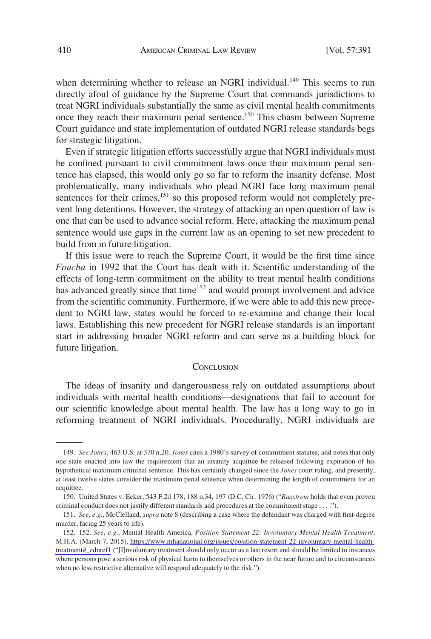when determining whether to release an NGRI individual.<sup>149</sup> This seems to run directly afoul of guidance by the Supreme Court that commands jurisdictions to treat NGRI individuals substantially the same as civil mental health commitments once they reach their maximum penal sentence.<sup>150</sup> This chasm between Supreme Court guidance and state implementation of outdated NGRI release standards begs for strategic litigation.

Even if strategic litigation efforts successfully argue that NGRI individuals must be confned pursuant to civil commitment laws once their maximum penal sentence has elapsed, this would only go so far to reform the insanity defense. Most problematically, many individuals who plead NGRI face long maximum penal sentences for their crimes, $151$  so this proposed reform would not completely prevent long detentions. However, the strategy of attacking an open question of law is one that can be used to advance social reform. Here, attacking the maximum penal sentence would use gaps in the current law as an opening to set new precedent to build from in future litigation.

If this issue were to reach the Supreme Court, it would be the frst time since *Foucha* in 1992 that the Court has dealt with it. Scientifc understanding of the effects of long-term commitment on the ability to treat mental health conditions has advanced greatly since that time<sup>152</sup> and would prompt involvement and advice from the scientifc community. Furthermore, if we were able to add this new precedent to NGRI law, states would be forced to re-examine and change their local laws. Establishing this new precedent for NGRI release standards is an important start in addressing broader NGRI reform and can serve as a building block for future litigation.

#### **CONCLUSION**

The ideas of insanity and dangerousness rely on outdated assumptions about individuals with mental health conditions—designations that fail to account for our scientifc knowledge about mental health. The law has a long way to go in reforming treatment of NGRI individuals. Procedurally, NGRI individuals are

<sup>149.</sup> *See Jones*, 463 U.S. at 370 n.20. *Jones* cites a 1980's survey of commitment statutes, and notes that only one state enacted into law the requirement that an insanity acquittee be released following expiration of his hypothetical maximum criminal sentence. This has certainly changed since the *Jones* court ruling, and presently, at least twelve states consider the maximum penal sentence when determining the length of commitment for an acquittee.

<sup>150.</sup> United States v. Ecker, 543 F.2d 178, 188 n.34, 197 (D.C. Cir. 1976) ("*Baxstrom* holds that even proven criminal conduct does not justify different standards and procedures at the commitment stage . . . .").

<sup>151.</sup> *See, e.g*., McClelland, *supra* note 8 (describing a case where the defendant was charged with frst-degree murder, facing 25 years to life).

*See, e.g*., Mental Health America, *Position Statement 22: Involuntary Mental Health Treatment*, 152. 152. M.H.A. (March 7, 2015), [https://www.mhanational.org/issues/position-statement-22-involuntary-mental-health](https://www.mhanational.org/issues/position-statement-22-involuntary-mental-health-treatment#_ednref1)[treatment#\\_ednref1](https://www.mhanational.org/issues/position-statement-22-involuntary-mental-health-treatment#_ednref1) ("[I]nvoluntary treatment should only occur as a last resort and should be limited to instances where persons pose a serious risk of physical harm to themselves or others in the near future and to circumstances when no less restrictive alternative will respond adequately to the risk.").